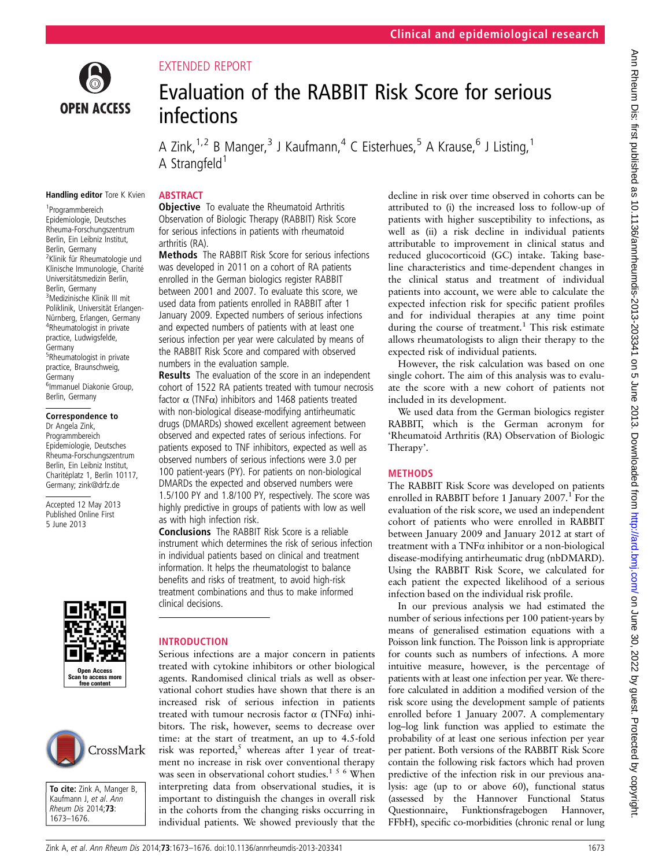

## EXTENDED REPORT

**Objective** To evaluate the Rheumatoid Arthritis Observation of Biologic Therapy (RABBIT) Risk Score for serious infections in patients with rheumatoid

numbers in the evaluation sample.

Methods The RABBIT Risk Score for serious infections was developed in 2011 on a cohort of RA patients enrolled in the German biologics register RABBIT between 2001 and 2007. To evaluate this score, we used data from patients enrolled in RABBIT after 1 January 2009. Expected numbers of serious infections and expected numbers of patients with at least one serious infection per year were calculated by means of the RABBIT Risk Score and compared with observed

**Results** The evaluation of the score in an independent cohort of 1522 RA patients treated with tumour necrosis factor α (TNFα) inhibitors and 1468 patients treated with non-biological disease-modifying antirheumatic drugs (DMARDs) showed excellent agreement between observed and expected rates of serious infections. For patients exposed to TNF inhibitors, expected as well as observed numbers of serious infections were 3.0 per 100 patient-years (PY). For patients on non-biological DMARDs the expected and observed numbers were 1.5/100 PY and 1.8/100 PY, respectively. The score was highly predictive in groups of patients with low as well

Conclusions The RABBIT Risk Score is a reliable instrument which determines the risk of serious infection in individual patients based on clinical and treatment information. It helps the rheumatologist to balance benefits and risks of treatment, to avoid high-risk treatment combinations and thus to make informed

**ABSTRACT** 

arthritis (RA).

# Evaluation of the RABBIT Risk Score for serious infections

A Zink,  $1.2$  B Manger,  $3$  J Kaufmann,  $4$  C Eisterhues,  $5$  A Krause,  $6$  J Listing,  $1$ A Strangfeld<sup>1</sup>

#### Handling editor Tore K Kvien

1 Programmbereich Epidemiologie, Deutsches Rheuma-Forschungszentrum Berlin, Ein Leibniz Institut, Berlin, Germany <sup>2</sup>Klinik für Rheumatologie und Klinische Immunologie, Charité Universitätsmedizin Berlin, Berlin, Germany 3 Medizinische Klinik III mit Poliklinik, Universität Erlangen-Nürnberg, Erlangen, Germany 4 Rheumatologist in private practice, Ludwigsfelde, **Germany** 5 Rheumatologist in private practice, Braunschweig, Germany 6 Immanuel Diakonie Group, Berlin, Germany

#### Correspondence to

Dr Angela Zink, Programmbereich Epidemiologie, Deutsches Rheuma-Forschungszentrum Berlin, Ein Leibniz Institut, Charitéplatz 1, Berlin 10117, Germany; zink@drfz.de

Accepted 12 May 2013 Published Online First 5 June 2013



To cite: Zink A, Manger B, Kaufmann J, et al. Ann Rheum Dis 2014;73: 1673–1676.

CrossMark



clinical decisions.

as with high infection risk.

Serious infections are a major concern in patients treated with cytokine inhibitors or other biological agents. Randomised clinical trials as well as observational cohort studies have shown that there is an increased risk of serious infection in patients treated with tumour necrosis factor α (TNFα) inhibitors. The risk, however, seems to decrease over time: at the start of treatment, an up to 4.5-fold risk was reported,<sup>5</sup> whereas after 1 year of treatment no increase in risk over conventional therapy was seen in observational cohort studies.<sup>156</sup> When interpreting data from observational studies, it is important to distinguish the changes in overall risk in the cohorts from the changing risks occurring in individual patients. We showed previously that the

decline in risk over time observed in cohorts can be attributed to (i) the increased loss to follow-up of patients with higher susceptibility to infections, as well as (ii) a risk decline in individual patients attributable to improvement in clinical status and reduced glucocorticoid (GC) intake. Taking baseline characteristics and time-dependent changes in the clinical status and treatment of individual patients into account, we were able to calculate the expected infection risk for specific patient profiles and for individual therapies at any time point during the course of treatment.<sup>1</sup> This risk estimate allows rheumatologists to align their therapy to the expected risk of individual patients.

However, the risk calculation was based on one single cohort. The aim of this analysis was to evaluate the score with a new cohort of patients not included in its development.

We used data from the German biologics register RABBIT, which is the German acronym for 'Rheumatoid Arthritis (RA) Observation of Biologic Therapy'.

#### **METHODS**

The RABBIT Risk Score was developed on patients enrolled in RABBIT before 1 January  $2007<sup>1</sup>$  For the evaluation of the risk score, we used an independent cohort of patients who were enrolled in RABBIT between January 2009 and January 2012 at start of treatment with a TNFα inhibitor or a non-biological disease-modifying antirheumatic drug (nbDMARD). Using the RABBIT Risk Score, we calculated for each patient the expected likelihood of a serious infection based on the individual risk profile.

In our previous analysis we had estimated the number of serious infections per 100 patient-years by means of generalised estimation equations with a Poisson link function. The Poisson link is appropriate for counts such as numbers of infections. A more intuitive measure, however, is the percentage of patients with at least one infection per year. We therefore calculated in addition a modified version of the risk score using the development sample of patients enrolled before 1 January 2007. A complementary log–log link function was applied to estimate the probability of at least one serious infection per year per patient. Both versions of the RABBIT Risk Score contain the following risk factors which had proven predictive of the infection risk in our previous analysis: age (up to or above 60), functional status (assessed by the Hannover Functional Status Questionnaire, Funktionsfragebogen Hannover, FFbH), specific co-morbidities (chronic renal or lung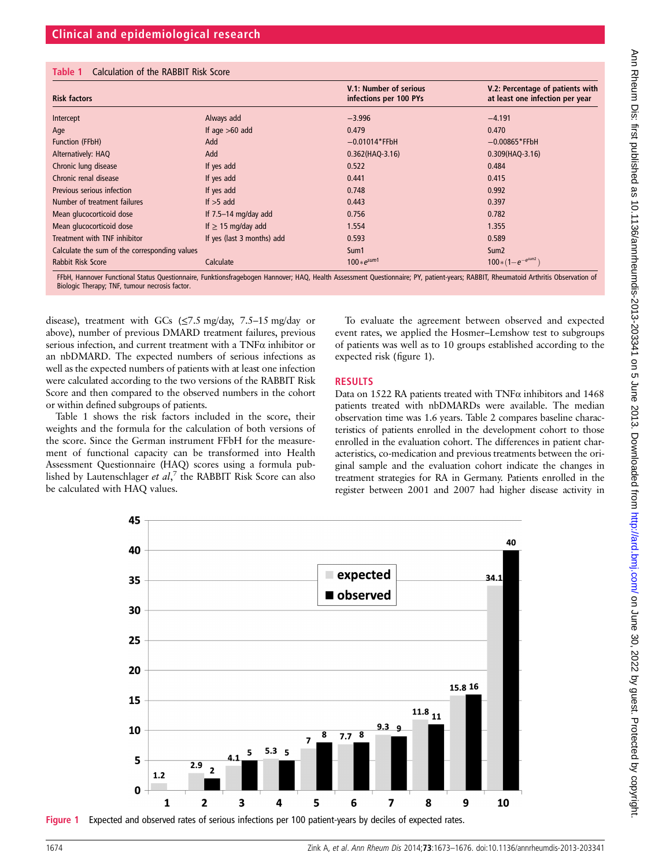| <b>Risk factors</b>                           |                            | V.1: Number of serious<br>infections per 100 PYs | V.2: Percentage of patients with<br>at least one infection per year |
|-----------------------------------------------|----------------------------|--------------------------------------------------|---------------------------------------------------------------------|
| Intercept                                     | Always add                 | $-3.996$                                         | $-4.191$                                                            |
| Age                                           | If age $>60$ add           | 0.479                                            | 0.470                                                               |
| Function (FFbH)                               | Add                        | $-0.01014*$ FFbH                                 | $-0.00865*$ FFbH                                                    |
| Alternatively: HAQ                            | Add                        | $0.362$ (HAQ-3.16)                               | $0.309$ (HAQ-3.16)                                                  |
| Chronic lung disease                          | If yes add                 | 0.522                                            | 0.484                                                               |
| Chronic renal disease                         | If yes add                 | 0.441                                            | 0.415                                                               |
| Previous serious infection                    | If yes add                 | 0.748                                            | 0.992                                                               |
| Number of treatment failures                  | If $>5$ add                | 0.443                                            | 0.397                                                               |
| Mean glucocorticoid dose                      | If $7.5-14$ mg/day add     | 0.756                                            | 0.782                                                               |
| Mean glucocorticoid dose                      | If $\geq$ 15 mg/day add    | 1.554                                            | 1.355                                                               |
| Treatment with TNF inhibitor                  | If yes (last 3 months) add | 0.593                                            | 0.589                                                               |
| Calculate the sum of the corresponding values |                            | Sum1                                             | Sum <sub>2</sub>                                                    |
| <b>Rabbit Risk Score</b>                      | Calculate                  | $100 * e^{sum1}$                                 | $100*(1-e)$                                                         |

FFbH, Hannover Functional Status Questionnaire, Funktionsfragebogen Hannover; HAQ, Health Assessment Questionnaire; PY, patient-years; RABBIT, Rheumatoid Arthritis Observation of Biologic Therapy; TNF, tumour necrosis factor.

disease), treatment with GCs (≤7.5 mg/day, 7.5–15 mg/day or above), number of previous DMARD treatment failures, previous serious infection, and current treatment with a TNFα inhibitor or an nbDMARD. The expected numbers of serious infections as well as the expected numbers of patients with at least one infection were calculated according to the two versions of the RABBIT Risk Score and then compared to the observed numbers in the cohort or within defined subgroups of patients.

Table 1 shows the risk factors included in the score, their weights and the formula for the calculation of both versions of the score. Since the German instrument FFbH for the measurement of functional capacity can be transformed into Health Assessment Questionnaire (HAQ) scores using a formula published by Lautenschlager et  $al$ ,<sup>7</sup> the RABBIT Risk Score can also be calculated with HAQ values.

To evaluate the agreement between observed and expected event rates, we applied the Hosmer–Lemshow test to subgroups of patients was well as to 10 groups established according to the expected risk (figure 1).

#### RESULTS

Data on 1522 RA patients treated with  $TNF\alpha$  inhibitors and 1468 patients treated with nbDMARDs were available. The median observation time was 1.6 years. Table 2 compares baseline characteristics of patients enrolled in the development cohort to those enrolled in the evaluation cohort. The differences in patient characteristics, co-medication and previous treatments between the original sample and the evaluation cohort indicate the changes in treatment strategies for RA in Germany. Patients enrolled in the register between 2001 and 2007 had higher disease activity in



Figure 1 Expected and observed rates of serious infections per 100 patient-years by deciles of expected rates.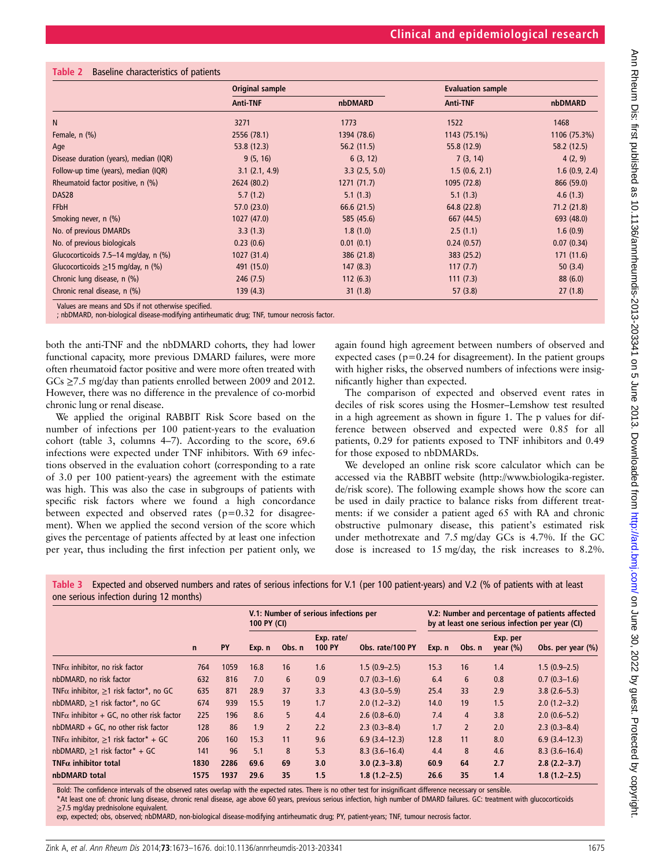### Table 2 Baseline characteristics of patients

|                                         | Original sample    |               | <b>Evaluation sample</b> |               |  |  |
|-----------------------------------------|--------------------|---------------|--------------------------|---------------|--|--|
|                                         | <b>Anti-TNF</b>    | nbDMARD       | <b>Anti-TNF</b>          | nbDMARD       |  |  |
| N                                       | 3271               | 1773          | 1522                     | 1468          |  |  |
| Female, n (%)                           | 2556 (78.1)        | 1394 (78.6)   | 1143 (75.1%)             | 1106 (75.3%)  |  |  |
| Age                                     | 53.8(12.3)         | 56.2(11.5)    | 55.8 (12.9)              | 58.2(12.5)    |  |  |
| Disease duration (years), median (IQR)  | 9(5, 16)           | 6(3, 12)      | 7(3, 14)                 | 4(2, 9)       |  |  |
| Follow-up time (years), median (IQR)    | $3.1$ $(2.1, 4.9)$ | 3.3(2.5, 5.0) | 1.5(0.6, 2.1)            | 1.6(0.9, 2.4) |  |  |
| Rheumatoid factor positive, n (%)       | 2624 (80.2)        | 1271(71.7)    | 1095 (72.8)              | 866 (59.0)    |  |  |
| DAS28                                   | 5.7(1.2)           | 5.1(1.3)      | 5.1(1.3)                 | 4.6(1.3)      |  |  |
| <b>FFbH</b>                             | 57.0(23.0)         | 66.6(21.5)    | 64.8 (22.8)              | 71.2(21.8)    |  |  |
| Smoking never, n (%)                    | 1027(47.0)         | 585 (45.6)    | 667 (44.5)               | 693 (48.0)    |  |  |
| No. of previous DMARDs                  | 3.3(1.3)           | 1.8(1.0)      | 2.5(1.1)                 | 1.6(0.9)      |  |  |
| No. of previous biologicals             | 0.23(0.6)          | 0.01(0.1)     | 0.24(0.57)               | 0.07(0.34)    |  |  |
| Glucocorticoids 7.5-14 mg/day, n (%)    | 1027(31.4)         | 386 (21.8)    | 383 (25.2)               | 171(11.6)     |  |  |
| Glucocorticoids $\geq$ 15 mg/day, n (%) | 491 (15.0)         | 147(8.3)      | 117(7.7)                 | 50(3.4)       |  |  |
| Chronic lung disease, n (%)             | 246(7.5)           | 112(6.3)      | 111(7.3)                 | 88(6.0)       |  |  |
| Chronic renal disease, n (%)            | 139(4.3)           | 31(1.8)       | 57(3.8)                  | 27(1.8)       |  |  |

Values are means and SDs if not otherwise specified.

; nbDMARD, non-biological disease-modifying antirheumatic drug; TNF, tumour necrosis factor.

both the anti-TNF and the nbDMARD cohorts, they had lower functional capacity, more previous DMARD failures, were more often rheumatoid factor positive and were more often treated with GCs  $\geq$ 7.5 mg/day than patients enrolled between 2009 and 2012. However, there was no difference in the prevalence of co-morbid chronic lung or renal disease.

We applied the original RABBIT Risk Score based on the number of infections per 100 patient-years to the evaluation cohort (table 3, columns 4–7). According to the score, 69.6 infections were expected under TNF inhibitors. With 69 infections observed in the evaluation cohort (corresponding to a rate of 3.0 per 100 patient-years) the agreement with the estimate was high. This was also the case in subgroups of patients with specific risk factors where we found a high concordance between expected and observed rates  $(p=0.32$  for disagreement). When we applied the second version of the score which gives the percentage of patients affected by at least one infection per year, thus including the first infection per patient only, we

again found high agreement between numbers of observed and expected cases ( $p=0.24$  for disagreement). In the patient groups with higher risks, the observed numbers of infections were insignificantly higher than expected.

The comparison of expected and observed event rates in deciles of risk scores using the Hosmer–Lemshow test resulted in a high agreement as shown in figure 1. The p values for difference between observed and expected were 0.85 for all patients, 0.29 for patients exposed to TNF inhibitors and 0.49 for those exposed to nbDMARDs.

We developed an online risk score calculator which can be accessed via the RABBIT website [\(http://www.biologika-register.](http://www.biologika-register.de/risk) [de/risk](http://www.biologika-register.de/risk) score). The following example shows how the score can be used in daily practice to balance risks from different treatments: if we consider a patient aged 65 with RA and chronic obstructive pulmonary disease, this patient's estimated risk under methotrexate and 7.5 mg/day GCs is 4.7%. If the GC dose is increased to 15 mg/day, the risk increases to 8.2%.

|                                                                   | $\mathsf{n}$ | PY   | V.1: Number of serious infections per<br>100 PY (CI) |                |                             | V.2: Number and percentage of patients affected<br>by at least one serious infection per year (CI) |        |                |                         |                   |
|-------------------------------------------------------------------|--------------|------|------------------------------------------------------|----------------|-----------------------------|----------------------------------------------------------------------------------------------------|--------|----------------|-------------------------|-------------------|
|                                                                   |              |      | Exp. n                                               | Obs. n         | Exp. rate/<br><b>100 PY</b> | Obs. rate/100 PY                                                                                   | Exp. n | Obs. n         | Exp. per<br>year $(\%)$ | Obs. per year (%) |
| TNF $\alpha$ inhibitor, no risk factor                            | 764          | 1059 | 16.8                                                 | 16             | 1.6                         | $1.5(0.9-2.5)$                                                                                     | 15.3   | 16             | 1.4                     | $1.5(0.9-2.5)$    |
| nbDMARD, no risk factor                                           | 632          | 816  | 7.0                                                  | 6              | 0.9                         | $0.7(0.3-1.6)$                                                                                     | 6.4    | 6              | 0.8                     | $0.7(0.3-1.6)$    |
| TNF $\alpha$ inhibitor, $\geq 1$ risk factor <sup>*</sup> , no GC | 635          | 871  | 28.9                                                 | 37             | 3.3                         | $4.3(3.0-5.9)$                                                                                     | 25.4   | 33             | 2.9                     | $3.8(2.6-5.3)$    |
| $nbDMARD$ , $\geq 1$ risk factor*, no GC                          | 674          | 939  | 15.5                                                 | 19             | 1.7                         | $2.0(1.2 - 3.2)$                                                                                   | 14.0   | 19             | 1.5                     | $2.0(1.2 - 3.2)$  |
| TNF $\alpha$ inhibitor + GC, no other risk factor                 | 225          | 196  | 8.6                                                  | 5              | 4.4                         | $2.6(0.8-6.0)$                                                                                     | 7.4    | $\overline{4}$ | 3.8                     | $2.0(0.6-5.2)$    |
| $nbDMARD + GC$ , no other risk factor                             | 128          | 86   | 1.9                                                  | $\overline{2}$ | 2.2                         | $2.3(0.3-8.4)$                                                                                     | 1.7    | $\overline{2}$ | 2.0                     | $2.3(0.3-8.4)$    |
| TNF $\alpha$ inhibitor, $\geq 1$ risk factor <sup>*</sup> + GC    | 206          | 160  | 15.3                                                 | 11             | 9.6                         | $6.9(3.4-12.3)$                                                                                    | 12.8   | 11             | 8.0                     | $6.9(3.4-12.3)$   |
| $nbDMARD, \ge 1$ risk factor <sup>*</sup> + GC                    | 141          | 96   | 5.1                                                  | 8              | 5.3                         | $8.3(3.6-16.4)$                                                                                    | 4.4    | 8              | 4.6                     | $8.3(3.6-16.4)$   |
| TNF $\alpha$ inhibitor total                                      | 1830         | 2286 | 69.6                                                 | 69             | 3.0                         | $3.0(2.3-3.8)$                                                                                     | 60.9   | 64             | 2.7                     | $2.8(2.2-3.7)$    |
| nbDMARD total                                                     | 1575         | 1937 | 29.6                                                 | 35             | 1.5                         | $1.8(1.2-2.5)$                                                                                     | 26.6   | 35             | 1.4                     | $1.8(1.2-2.5)$    |

Table 3 Expected and observed numbers and rates of serious infections for V.1 (per 100 patient-years) and V.2 (% of patients with at least one serious infection during 12 months)

Bold: The confidence intervals of the observed rates overlap with the expected rates. There is no other test for insignificant difference necessary or sensible.

\*At least one of: chronic lung disease, chronic renal disease, age above 60 years, previous serious infection, high number of DMARD failures. GC: treatment with glucocorticoids ≥7.5 mg/day prednisolone equivalent.

exp, expected; obs, observed; nbDMARD, non-biological disease-modifying antirheumatic drug; PY, patient-years; TNF, tumour necrosis factor.